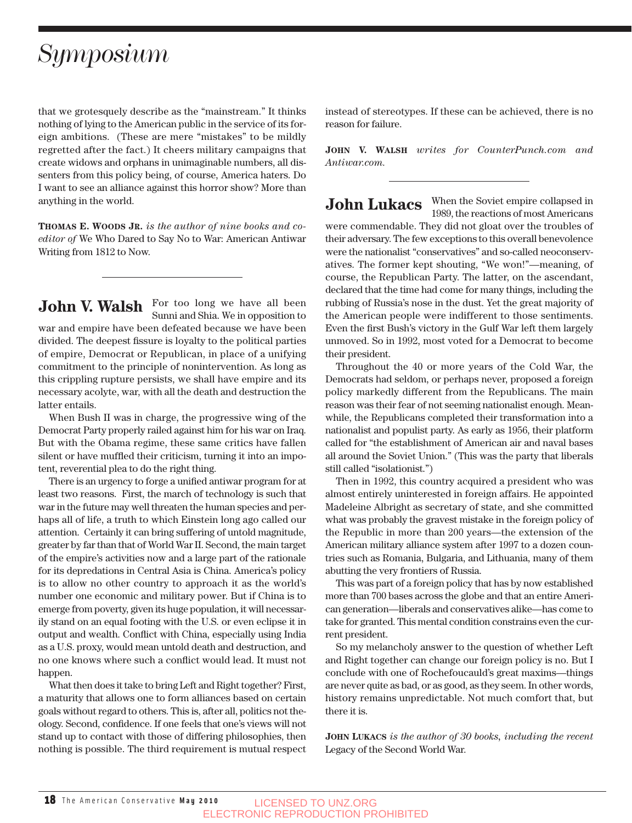## *Symposium*

that we grotesquely describe as the "mainstream." It thinks nothing of lying to the American public in the service of its foreign ambitions. (These are mere "mistakes" to be mildly regretted after the fact.) It cheers military campaigns that create widows and orphans in unimaginable numbers, all dissenters from this policy being, of course, America haters. Do I want to see an alliance against this horror show? More than anything in the world.

**THOMAS E. WOODS JR.** *is the author of nine books and coeditor of* We Who Dared to Say No to War: American Antiwar Writing from 1812 to Now.

**John V. Walsh** For too long we have all been Sunni and Shia. We in opposition to war and empire have been defeated because we have been divided. The deepest fissure is loyalty to the political parties of empire, Democrat or Republican, in place of a unifying commitment to the principle of nonintervention. As long as this crippling rupture persists, we shall have empire and its necessary acolyte, war, with all the death and destruction the latter entails.

When Bush II was in charge, the progressive wing of the Democrat Party properly railed against him for his war on Iraq. But with the Obama regime, these same critics have fallen silent or have muffled their criticism, turning it into an impotent, reverential plea to do the right thing.

There is an urgency to forge a unified antiwar program for at least two reasons. First, the march of technology is such that war in the future may well threaten the human species and perhaps all of life, a truth to which Einstein long ago called our attention. Certainly it can bring suffering of untold magnitude, greater by far than that of World War II. Second, the main target of the empire's activities now and a large part of the rationale for its depredations in Central Asia is China. America's policy is to allow no other country to approach it as the world's number one economic and military power. But if China is to emerge from poverty, given its huge population, it will necessarily stand on an equal footing with the U.S. or even eclipse it in output and wealth. Conflict with China, especially using India as a U.S. proxy, would mean untold death and destruction, and no one knows where such a conflict would lead. It must not happen.

What then does it take to bring Left and Right together? First, a maturity that allows one to form alliances based on certain goals without regard to others. This is, after all, politics not theology. Second, confidence. If one feels that one's views will not stand up to contact with those of differing philosophies, then nothing is possible. The third requirement is mutual respect

instead of stereotypes. If these can be achieved, there is no reason for failure.

**JOHN V. WALSH** *writes for CounterPunch.com and Antiwar.com.*

**John Lukacs** When the Soviet empire collapsed in 1989, the reactions of most Americans were commendable. They did not gloat over the troubles of their adversary. The few exceptions to this overall benevolence were the nationalist "conservatives" and so-called neoconservatives. The former kept shouting, "We won!"—meaning, of course, the Republican Party. The latter, on the ascendant, declared that the time had come for many things, including the rubbing of Russia's nose in the dust. Yet the great majority of the American people were indifferent to those sentiments. Even the first Bush's victory in the Gulf War left them largely unmoved. So in 1992, most voted for a Democrat to become their president.

Throughout the 40 or more years of the Cold War, the Democrats had seldom, or perhaps never, proposed a foreign policy markedly different from the Republicans. The main reason was their fear of not seeming nationalist enough. Meanwhile, the Republicans completed their transformation into a nationalist and populist party. As early as 1956, their platform called for "the establishment of American air and naval bases all around the Soviet Union." (This was the party that liberals still called "isolationist.")

Then in 1992, this country acquired a president who was almost entirely uninterested in foreign affairs. He appointed Madeleine Albright as secretary of state, and she committed what was probably the gravest mistake in the foreign policy of the Republic in more than 200 years—the extension of the American military alliance system after 1997 to a dozen countries such as Romania, Bulgaria, and Lithuania, many of them abutting the very frontiers of Russia.

This was part of a foreign policy that has by now established more than 700 bases across the globe and that an entire American generation—liberals and conservatives alike—has come to take for granted. This mental condition constrains even the current president.

So my melancholy answer to the question of whether Left and Right together can change our foreign policy is no. But I conclude with one of Rochefoucauld's great maxims—things are never quite as bad, or as good, as they seem. In other words, history remains unpredictable. Not much comfort that, but there it is.

**JOHN LUKACS** *is the author of 30 books, including the recent* Legacy of the Second World War.